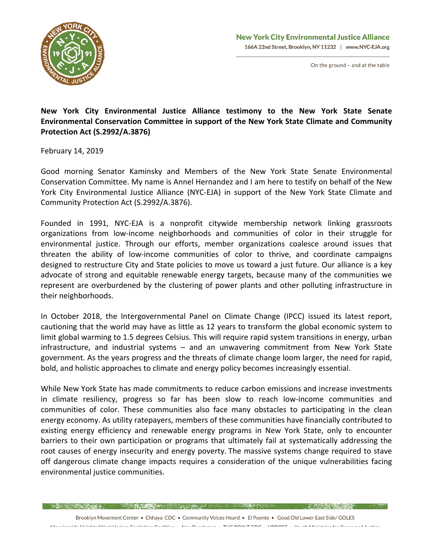

On the ground - and at the table

## New York City Environmental Justice Alliance testimony to the New York State Senate Environmental Conservation Committee in support of the New York State Climate and Community **Protection Act (S.2992/A.3876)**

February 14, 2019

Good morning Senator Kaminsky and Members of the New York State Senate Environmental Conservation Committee. My name is Annel Hernandez and I am here to testify on behalf of the New York City Environmental Justice Alliance (NYC-EJA) in support of the New York State Climate and Community Protection Act (S.2992/A.3876).

Founded in 1991, NYC-EJA is a nonprofit citywide membership network linking grassroots organizations from low-income neighborhoods and communities of color in their struggle for environmental justice. Through our efforts, member organizations coalesce around issues that threaten the ability of low-income communities of color to thrive, and coordinate campaigns designed to restructure City and State policies to move us toward a just future. Our alliance is a key advocate of strong and equitable renewable energy targets, because many of the communities we represent are overburdened by the clustering of power plants and other polluting infrastructure in their neighborhoods. 

In October 2018, the Intergovernmental Panel on Climate Change (IPCC) issued its latest report, cautioning that the world may have as little as 12 years to transform the global economic system to limit global warming to 1.5 degrees Celsius. This will require rapid system transitions in energy, urban infrastructure, and industrial systems – and an unwavering commitment from New York State government. As the years progress and the threats of climate change loom larger, the need for rapid, bold, and holistic approaches to climate and energy policy becomes increasingly essential.

While New York State has made commitments to reduce carbon emissions and increase investments in climate resiliency, progress so far has been slow to reach low-income communities and communities of color. These communities also face many obstacles to participating in the clean energy economy. As utility ratepayers, members of these communities have financially contributed to existing energy efficiency and renewable energy programs in New York State, only to encounter barriers to their own participation or programs that ultimately fail at systematically addressing the root causes of energy insecurity and energy poverty. The massive systems change required to stave off dangerous climate change impacts requires a consideration of the unique vulnerabilities facing environmental justice communities.